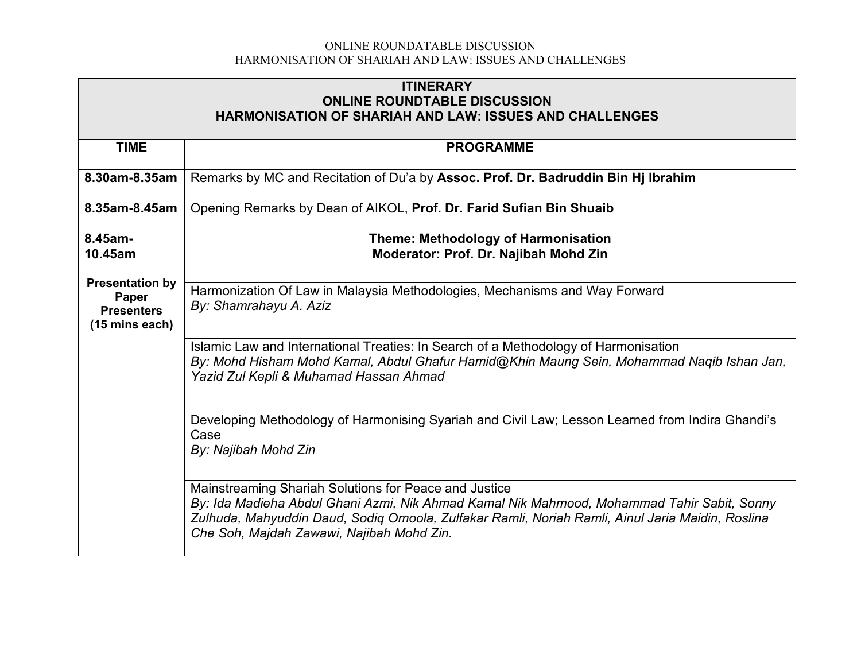| <b>ITINERARY</b>                                               |                                                                                                                                                                                  |  |  |  |  |  |
|----------------------------------------------------------------|----------------------------------------------------------------------------------------------------------------------------------------------------------------------------------|--|--|--|--|--|
| <b>ONLINE ROUNDTABLE DISCUSSION</b>                            |                                                                                                                                                                                  |  |  |  |  |  |
| <b>HARMONISATION OF SHARIAH AND LAW: ISSUES AND CHALLENGES</b> |                                                                                                                                                                                  |  |  |  |  |  |
|                                                                |                                                                                                                                                                                  |  |  |  |  |  |
| <b>TIME</b>                                                    | <b>PROGRAMME</b>                                                                                                                                                                 |  |  |  |  |  |
|                                                                |                                                                                                                                                                                  |  |  |  |  |  |
| 8.30am-8.35am                                                  | Remarks by MC and Recitation of Du'a by Assoc. Prof. Dr. Badruddin Bin Hj Ibrahim                                                                                                |  |  |  |  |  |
| 8.35am-8.45am                                                  | Opening Remarks by Dean of AIKOL, Prof. Dr. Farid Sufian Bin Shuaib                                                                                                              |  |  |  |  |  |
| 8.45am-                                                        | Theme: Methodology of Harmonisation                                                                                                                                              |  |  |  |  |  |
| 10.45am                                                        | Moderator: Prof. Dr. Najibah Mohd Zin                                                                                                                                            |  |  |  |  |  |
|                                                                |                                                                                                                                                                                  |  |  |  |  |  |
| <b>Presentation by</b>                                         | Harmonization Of Law in Malaysia Methodologies, Mechanisms and Way Forward                                                                                                       |  |  |  |  |  |
| Paper<br><b>Presenters</b>                                     | By: Shamrahayu A. Aziz                                                                                                                                                           |  |  |  |  |  |
| (15 mins each)                                                 |                                                                                                                                                                                  |  |  |  |  |  |
|                                                                |                                                                                                                                                                                  |  |  |  |  |  |
|                                                                | Islamic Law and International Treaties: In Search of a Methodology of Harmonisation<br>By: Mohd Hisham Mohd Kamal, Abdul Ghafur Hamid@Khin Maung Sein, Mohammad Naqib Ishan Jan, |  |  |  |  |  |
|                                                                | Yazid Zul Kepli & Muhamad Hassan Ahmad                                                                                                                                           |  |  |  |  |  |
|                                                                |                                                                                                                                                                                  |  |  |  |  |  |
|                                                                |                                                                                                                                                                                  |  |  |  |  |  |
|                                                                | Developing Methodology of Harmonising Syariah and Civil Law; Lesson Learned from Indira Ghandi's                                                                                 |  |  |  |  |  |
|                                                                | Case                                                                                                                                                                             |  |  |  |  |  |
|                                                                | By: Najibah Mohd Zin                                                                                                                                                             |  |  |  |  |  |
|                                                                |                                                                                                                                                                                  |  |  |  |  |  |
|                                                                | Mainstreaming Shariah Solutions for Peace and Justice                                                                                                                            |  |  |  |  |  |
|                                                                | By: Ida Madieha Abdul Ghani Azmi, Nik Ahmad Kamal Nik Mahmood, Mohammad Tahir Sabit, Sonny                                                                                       |  |  |  |  |  |
|                                                                | Zulhuda, Mahyuddin Daud, Sodiq Omoola, Zulfakar Ramli, Noriah Ramli, Ainul Jaria Maidin, Roslina                                                                                 |  |  |  |  |  |
|                                                                | Che Soh, Majdah Zawawi, Najibah Mohd Zin.                                                                                                                                        |  |  |  |  |  |
|                                                                |                                                                                                                                                                                  |  |  |  |  |  |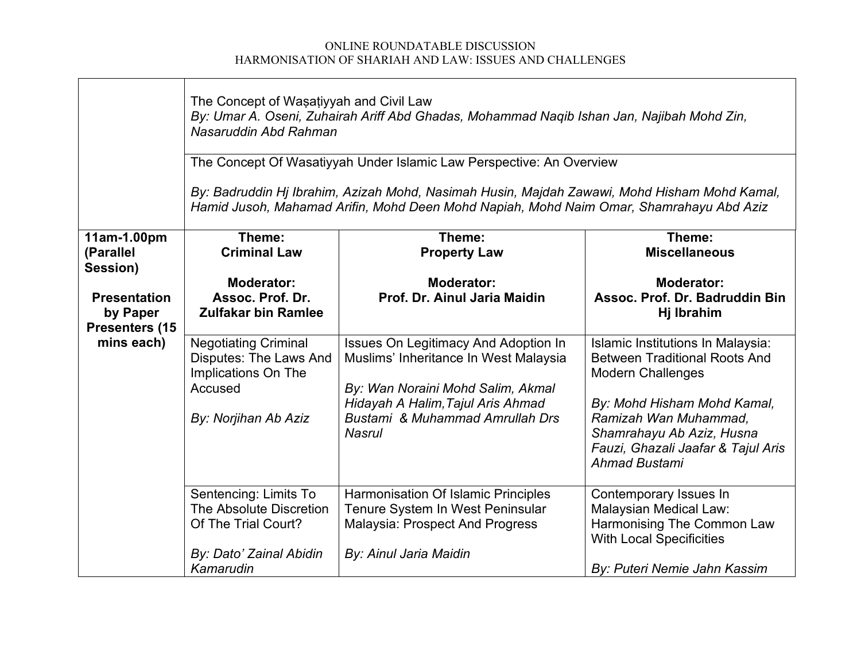$\blacksquare$ 

|                                                                             | The Concept of Wasatiyyah and Civil Law<br>By: Umar A. Oseni, Zuhairah Ariff Abd Ghadas, Mohammad Naqib Ishan Jan, Najibah Mohd Zin,<br>Nasaruddin Abd Rahman                           |                                                                                      |                                                                                                           |  |  |
|-----------------------------------------------------------------------------|-----------------------------------------------------------------------------------------------------------------------------------------------------------------------------------------|--------------------------------------------------------------------------------------|-----------------------------------------------------------------------------------------------------------|--|--|
|                                                                             | The Concept Of Wasatiyyah Under Islamic Law Perspective: An Overview                                                                                                                    |                                                                                      |                                                                                                           |  |  |
|                                                                             | By: Badruddin Hj Ibrahim, Azizah Mohd, Nasimah Husin, Majdah Zawawi, Mohd Hisham Mohd Kamal,<br>Hamid Jusoh, Mahamad Arifin, Mohd Deen Mohd Napiah, Mohd Naim Omar, Shamrahayu Abd Aziz |                                                                                      |                                                                                                           |  |  |
| 11am-1.00pm<br>(Parallel                                                    | Theme:<br><b>Criminal Law</b>                                                                                                                                                           | Theme:<br><b>Property Law</b>                                                        | Theme:<br><b>Miscellaneous</b>                                                                            |  |  |
| Session)<br><b>Presentation</b><br>by Paper<br>Presenters (15<br>mins each) | <b>Moderator:</b><br>Assoc. Prof. Dr.                                                                                                                                                   | <b>Moderator:</b><br>Prof. Dr. Ainul Jaria Maidin                                    | <b>Moderator:</b><br>Assoc. Prof. Dr. Badruddin Bin                                                       |  |  |
|                                                                             | <b>Zulfakar bin Ramlee</b>                                                                                                                                                              |                                                                                      | Hj Ibrahim                                                                                                |  |  |
|                                                                             | <b>Negotiating Criminal</b><br><b>Disputes: The Laws And</b><br>Implications On The                                                                                                     | <b>Issues On Legitimacy And Adoption In</b><br>Muslims' Inheritance In West Malaysia | Islamic Institutions In Malaysia:<br><b>Between Traditional Roots And</b><br><b>Modern Challenges</b>     |  |  |
|                                                                             | Accused                                                                                                                                                                                 | By: Wan Noraini Mohd Salim, Akmal<br>Hidayah A Halim, Tajul Aris Ahmad               | By: Mohd Hisham Mohd Kamal,                                                                               |  |  |
|                                                                             | By: Norjihan Ab Aziz                                                                                                                                                                    | Bustami & Muhammad Amrullah Drs<br><b>Nasrul</b>                                     | Ramizah Wan Muhammad,<br>Shamrahayu Ab Aziz, Husna<br>Fauzi, Ghazali Jaafar & Tajul Aris<br>Ahmad Bustami |  |  |
|                                                                             | Sentencing: Limits To                                                                                                                                                                   | Harmonisation Of Islamic Principles                                                  | Contemporary Issues In                                                                                    |  |  |
|                                                                             | The Absolute Discretion<br>Of The Trial Court?                                                                                                                                          | Tenure System In West Peninsular<br><b>Malaysia: Prospect And Progress</b>           | Malaysian Medical Law:<br>Harmonising The Common Law<br><b>With Local Specificities</b>                   |  |  |
|                                                                             | By: Dato' Zainal Abidin<br>Kamarudin                                                                                                                                                    | By: Ainul Jaria Maidin                                                               | By: Puteri Nemie Jahn Kassim                                                                              |  |  |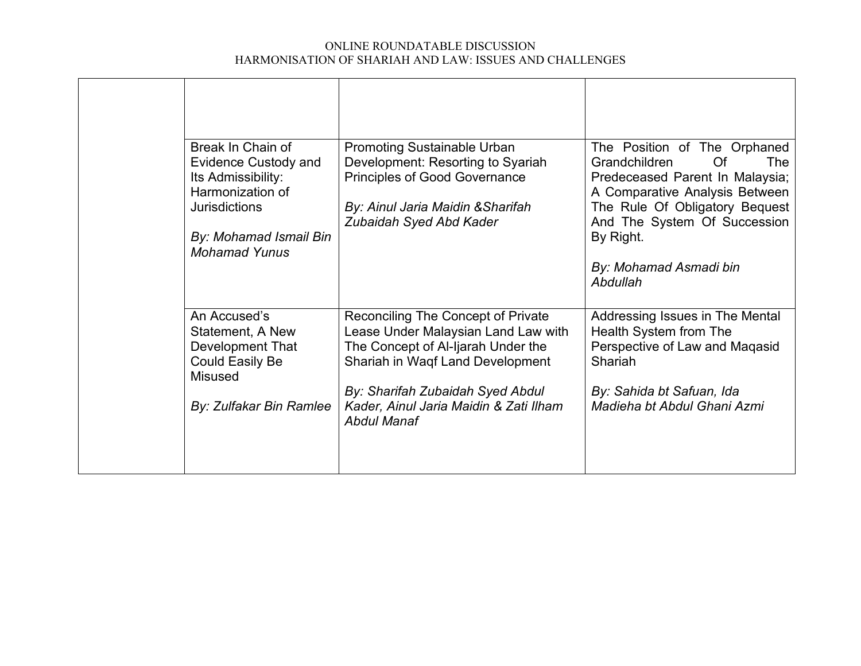|  | Break In Chain of<br><b>Evidence Custody and</b><br>Its Admissibility:<br>Harmonization of<br><b>Jurisdictions</b> | <b>Promoting Sustainable Urban</b><br>Development: Resorting to Syariah<br><b>Principles of Good Governance</b><br>By: Ainul Jaria Maidin & Sharifah<br>Zubaidah Syed Abd Kader         | The Position of The Orphaned<br><b>Of</b><br><b>Grandchildren</b><br><b>The</b><br>Predeceased Parent In Malaysia;<br>A Comparative Analysis Between<br>The Rule Of Obligatory Bequest<br>And The System Of Succession |
|--|--------------------------------------------------------------------------------------------------------------------|-----------------------------------------------------------------------------------------------------------------------------------------------------------------------------------------|------------------------------------------------------------------------------------------------------------------------------------------------------------------------------------------------------------------------|
|  | By: Mohamad Ismail Bin<br><b>Mohamad Yunus</b>                                                                     |                                                                                                                                                                                         | By Right.<br>By: Mohamad Asmadi bin<br>Abdullah                                                                                                                                                                        |
|  | An Accused's<br>Statement, A New<br>Development That<br><b>Could Easily Be</b><br><b>Misused</b>                   | Reconciling The Concept of Private<br>Lease Under Malaysian Land Law with<br>The Concept of Al-Ijarah Under the<br>Shariah in Waqf Land Development<br>By: Sharifah Zubaidah Syed Abdul | Addressing Issues in The Mental<br>Health System from The<br>Perspective of Law and Maqasid<br>Shariah<br>By: Sahida bt Safuan, Ida                                                                                    |
|  | By: Zulfakar Bin Ramlee                                                                                            | Kader, Ainul Jaria Maidin & Zati Ilham<br><b>Abdul Manaf</b>                                                                                                                            | Madieha bt Abdul Ghani Azmi                                                                                                                                                                                            |